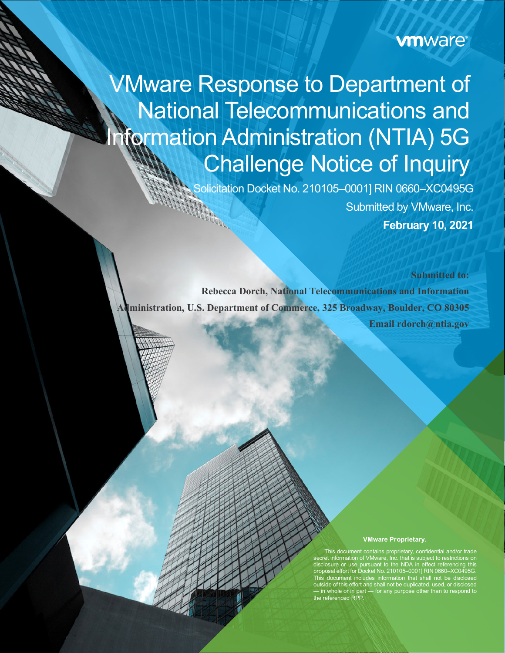## **vmware**®

# VMware Response to Department of National Telecommunications and **formation Administration (NTIA) 5G** Challenge Notice of Inquiry

Solicitation Docket No. 210105–0001] RIN 0660–XC0495G Submitted by VMware, Inc. **February 10, 2021**

**Submitted to: Rebecca Dorch, National Telecommunications and Information Administration, U.S. Department of Commerce, 325 Broadway, Boulder, CO 80305 Email rdorch@ntia.gov**

#### **VMware Proprietary.**

This document contains proprietary, confidential and/or trade secret information of VMware, Inc. that is subject to restrictions on disclosure or use pursuant to the NDA in effect referencing this proposal effort for Docket No. 210105–0001] RIN 0660–XC0495G. This document includes information that shall not be disclosed outside of this effort and shall not be duplicated, used, or disclosed — in whole or in part — for any purpose other than to respond to the referenced RPP.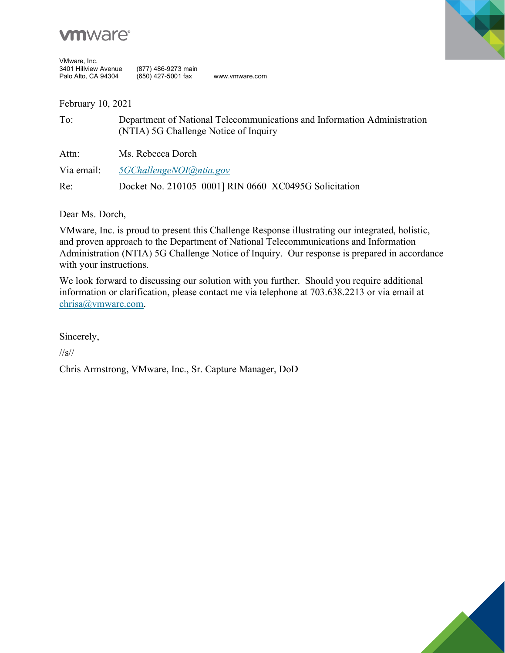

| VMware, Inc.         |                     |                |
|----------------------|---------------------|----------------|
| 3401 Hillview Avenue | (877) 486-9273 main |                |
| Palo Alto, CA 94304  | (650) 427-5001 fax  | www.ymware.com |



February 10, 2021

| To:        | Department of National Telecommunications and Information Administration<br>(NTIA) 5G Challenge Notice of Inquiry |
|------------|-------------------------------------------------------------------------------------------------------------------|
| Attn:      | Ms. Rebecca Dorch                                                                                                 |
| Via email: | 5GChallengeNOI@ntia.gov                                                                                           |
| Re:        | Docket No. 210105-0001] RIN 0660-XC0495G Solicitation                                                             |

Dear Ms. Dorch,

VMware, Inc. is proud to present this Challenge Response illustrating our integrated, holistic, and proven approach to the Department of National Telecommunications and Information Administration (NTIA) 5G Challenge Notice of Inquiry. Our response is prepared in accordance with your instructions.

We look forward to discussing our solution with you further. Should you require additional information or clarification, please contact me via telephone at 703.638.2213 or via email at [chrisa@vmware.com.](mailto:chrisa@vmware.com)

Sincerely,

//s//

Chris Armstrong, VMware, Inc., Sr. Capture Manager, DoD

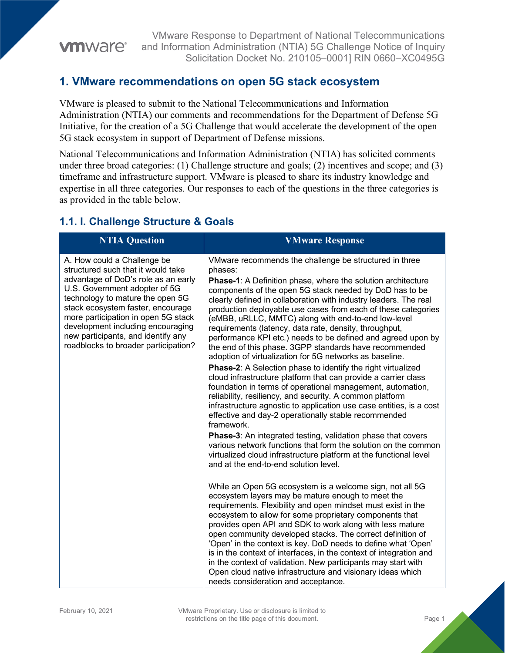### **vm**ware<sup>®</sup>

VMware Response to Department of National Telecommunications and Information Administration (NTIA) 5G Challenge Notice of Inquiry Solicitation Docket No. 210105–0001] RIN 0660–XC0495G

#### **1. VMware recommendations on open 5G stack ecosystem**

VMware is pleased to submit to the National Telecommunications and Information Administration (NTIA) our comments and recommendations for the Department of Defense 5G Initiative, for the creation of a 5G Challenge that would accelerate the development of the open 5G stack ecosystem in support of Department of Defense missions.

National Telecommunications and Information Administration (NTIA) has solicited comments under three broad categories: (1) Challenge structure and goals; (2) incentives and scope; and (3) timeframe and infrastructure support. VMware is pleased to share its industry knowledge and expertise in all three categories. Our responses to each of the questions in the three categories is as provided in the table below.

#### **1.1. I. Challenge Structure & Goals**

| <b>NTIA Question</b>                                                                                                                                                                                                                                                                                                                                                         | <b>VMware Response</b>                                                                                                                                                                                                                                                                                                                                                                                                                                                                                                                                                                                                                                                                                                                                                                                                                                                                                                                                                                                                                                                                                                                                                                                                                                                                                                |
|------------------------------------------------------------------------------------------------------------------------------------------------------------------------------------------------------------------------------------------------------------------------------------------------------------------------------------------------------------------------------|-----------------------------------------------------------------------------------------------------------------------------------------------------------------------------------------------------------------------------------------------------------------------------------------------------------------------------------------------------------------------------------------------------------------------------------------------------------------------------------------------------------------------------------------------------------------------------------------------------------------------------------------------------------------------------------------------------------------------------------------------------------------------------------------------------------------------------------------------------------------------------------------------------------------------------------------------------------------------------------------------------------------------------------------------------------------------------------------------------------------------------------------------------------------------------------------------------------------------------------------------------------------------------------------------------------------------|
| A. How could a Challenge be<br>structured such that it would take<br>advantage of DoD's role as an early<br>U.S. Government adopter of 5G<br>technology to mature the open 5G<br>stack ecosystem faster, encourage<br>more participation in open 5G stack<br>development including encouraging<br>new participants, and identify any<br>roadblocks to broader participation? | VMware recommends the challenge be structured in three<br>phases:<br><b>Phase-1:</b> A Definition phase, where the solution architecture<br>components of the open 5G stack needed by DoD has to be<br>clearly defined in collaboration with industry leaders. The real<br>production deployable use cases from each of these categories<br>(eMBB, uRLLC, MMTC) along with end-to-end low-level<br>requirements (latency, data rate, density, throughput,<br>performance KPI etc.) needs to be defined and agreed upon by<br>the end of this phase. 3GPP standards have recommended<br>adoption of virtualization for 5G networks as baseline.<br><b>Phase-2:</b> A Selection phase to identify the right virtualized<br>cloud infrastructure platform that can provide a carrier class<br>foundation in terms of operational management, automation,<br>reliability, resiliency, and security. A common platform<br>infrastructure agnostic to application use case entities, is a cost<br>effective and day-2 operationally stable recommended<br>framework.<br><b>Phase-3:</b> An integrated testing, validation phase that covers<br>various network functions that form the solution on the common<br>virtualized cloud infrastructure platform at the functional level<br>and at the end-to-end solution level. |
|                                                                                                                                                                                                                                                                                                                                                                              | While an Open 5G ecosystem is a welcome sign, not all 5G<br>ecosystem layers may be mature enough to meet the<br>requirements. Flexibility and open mindset must exist in the<br>ecosystem to allow for some proprietary components that<br>provides open API and SDK to work along with less mature<br>open community developed stacks. The correct definition of<br>'Open' in the context is key. DoD needs to define what 'Open'<br>is in the context of interfaces, in the context of integration and<br>in the context of validation. New participants may start with<br>Open cloud native infrastructure and visionary ideas which<br>needs consideration and acceptance.                                                                                                                                                                                                                                                                                                                                                                                                                                                                                                                                                                                                                                       |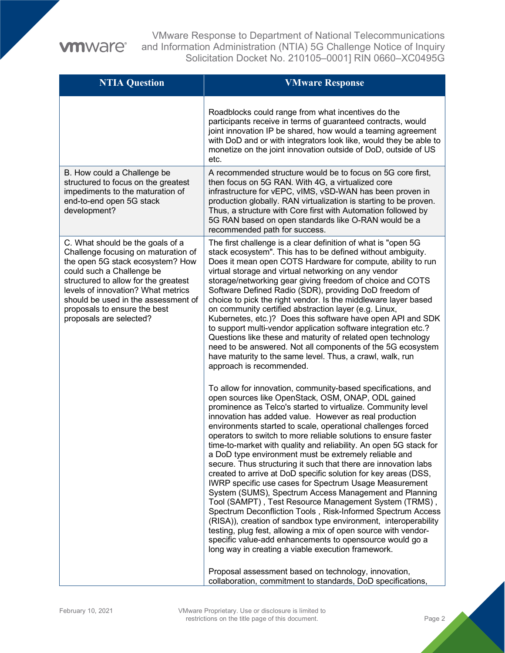VMware Response to Department of National Telecommunications and Information Administration (NTIA) 5G Challenge Notice of Inquiry Solicitation Docket No. 210105–0001] RIN 0660–XC0495G

| <b>NTIA Question</b>                                                                                                                                                                                                                                                                                                     | <b>VMware Response</b>                                                                                                                                                                                                                                                                                                                                                                                                                                                                                                                                                                                                                                                                                                                                                                                                                                                                                                                                                                                                                                                                                                                                                                                                                                                       |
|--------------------------------------------------------------------------------------------------------------------------------------------------------------------------------------------------------------------------------------------------------------------------------------------------------------------------|------------------------------------------------------------------------------------------------------------------------------------------------------------------------------------------------------------------------------------------------------------------------------------------------------------------------------------------------------------------------------------------------------------------------------------------------------------------------------------------------------------------------------------------------------------------------------------------------------------------------------------------------------------------------------------------------------------------------------------------------------------------------------------------------------------------------------------------------------------------------------------------------------------------------------------------------------------------------------------------------------------------------------------------------------------------------------------------------------------------------------------------------------------------------------------------------------------------------------------------------------------------------------|
|                                                                                                                                                                                                                                                                                                                          | Roadblocks could range from what incentives do the<br>participants receive in terms of guaranteed contracts, would<br>joint innovation IP be shared, how would a teaming agreement<br>with DoD and or with integrators look like, would they be able to<br>monetize on the joint innovation outside of DoD, outside of US<br>etc.                                                                                                                                                                                                                                                                                                                                                                                                                                                                                                                                                                                                                                                                                                                                                                                                                                                                                                                                            |
| B. How could a Challenge be<br>structured to focus on the greatest<br>impediments to the maturation of<br>end-to-end open 5G stack<br>development?                                                                                                                                                                       | A recommended structure would be to focus on 5G core first,<br>then focus on 5G RAN. With 4G, a virtualized core<br>infrastructure for vEPC, vIMS, vSD-WAN has been proven in<br>production globally. RAN virtualization is starting to be proven.<br>Thus, a structure with Core first with Automation followed by<br>5G RAN based on open standards like O-RAN would be a<br>recommended path for success.                                                                                                                                                                                                                                                                                                                                                                                                                                                                                                                                                                                                                                                                                                                                                                                                                                                                 |
| C. What should be the goals of a<br>Challenge focusing on maturation of<br>the open 5G stack ecosystem? How<br>could such a Challenge be<br>structured to allow for the greatest<br>levels of innovation? What metrics<br>should be used in the assessment of<br>proposals to ensure the best<br>proposals are selected? | The first challenge is a clear definition of what is "open 5G<br>stack ecosystem". This has to be defined without ambiguity.<br>Does it mean open COTS Hardware for compute, ability to run<br>virtual storage and virtual networking on any vendor<br>storage/networking gear giving freedom of choice and COTS<br>Software Defined Radio (SDR), providing DoD freedom of<br>choice to pick the right vendor. Is the middleware layer based<br>on community certified abstraction layer (e.g. Linux,<br>Kubernetes, etc.)? Does this software have open API and SDK<br>to support multi-vendor application software integration etc.?<br>Questions like these and maturity of related open technology<br>need to be answered. Not all components of the 5G ecosystem<br>have maturity to the same level. Thus, a crawl, walk, run<br>approach is recommended.                                                                                                                                                                                                                                                                                                                                                                                                               |
|                                                                                                                                                                                                                                                                                                                          | To allow for innovation, community-based specifications, and<br>open sources like OpenStack, OSM, ONAP, ODL gained<br>prominence as Telco's started to virtualize. Community level<br>innovation has added value. However as real production<br>environments started to scale, operational challenges forced<br>operators to switch to more reliable solutions to ensure faster<br>time-to-market with quality and reliability. An open 5G stack for<br>a DoD type environment must be extremely reliable and<br>secure. Thus structuring it such that there are innovation labs<br>created to arrive at DoD specific solution for key areas (DSS,<br>IWRP specific use cases for Spectrum Usage Measurement<br>System (SUMS), Spectrum Access Management and Planning<br>Tool (SAMPT), Test Resource Management System (TRMS),<br>Spectrum Deconfliction Tools, Risk-Informed Spectrum Access<br>(RISA)), creation of sandbox type environment, interoperability<br>testing, plug fest, allowing a mix of open source with vendor-<br>specific value-add enhancements to opensource would go a<br>long way in creating a viable execution framework.<br>Proposal assessment based on technology, innovation,<br>collaboration, commitment to standards, DoD specifications, |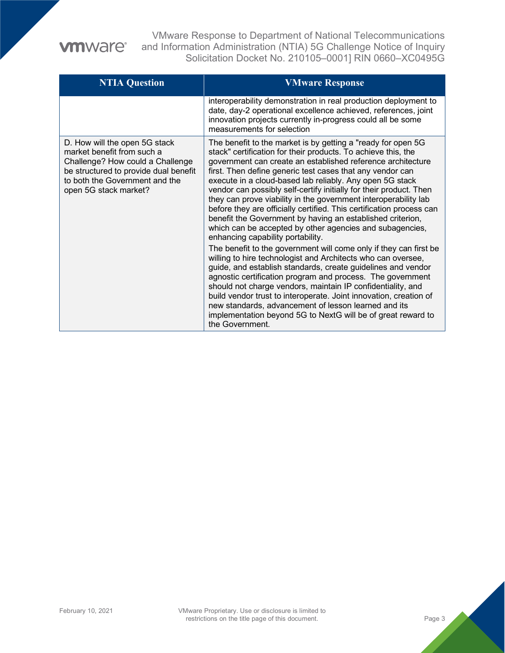VMware Response to Department of National Telecommunications and Information Administration (NTIA) 5G Challenge Notice of Inquiry Solicitation Docket No. 210105–0001] RIN 0660–XC0495G

| <b>NTIA Question</b>                                                                                                                                                                                | <b>VMware Response</b>                                                                                                                                                                                                                                                                                                                                                                                                                                                                                                                                                                                                                                                                                                                                                                                                                                                                                                                                                                                                                                                                                                                                                                                                                                  |
|-----------------------------------------------------------------------------------------------------------------------------------------------------------------------------------------------------|---------------------------------------------------------------------------------------------------------------------------------------------------------------------------------------------------------------------------------------------------------------------------------------------------------------------------------------------------------------------------------------------------------------------------------------------------------------------------------------------------------------------------------------------------------------------------------------------------------------------------------------------------------------------------------------------------------------------------------------------------------------------------------------------------------------------------------------------------------------------------------------------------------------------------------------------------------------------------------------------------------------------------------------------------------------------------------------------------------------------------------------------------------------------------------------------------------------------------------------------------------|
|                                                                                                                                                                                                     | interoperability demonstration in real production deployment to<br>date, day-2 operational excellence achieved, references, joint<br>innovation projects currently in-progress could all be some<br>measurements for selection                                                                                                                                                                                                                                                                                                                                                                                                                                                                                                                                                                                                                                                                                                                                                                                                                                                                                                                                                                                                                          |
| D. How will the open 5G stack<br>market benefit from such a<br>Challenge? How could a Challenge<br>be structured to provide dual benefit<br>to both the Government and the<br>open 5G stack market? | The benefit to the market is by getting a "ready for open 5G<br>stack" certification for their products. To achieve this, the<br>government can create an established reference architecture<br>first. Then define generic test cases that any vendor can<br>execute in a cloud-based lab reliably. Any open 5G stack<br>vendor can possibly self-certify initially for their product. Then<br>they can prove viability in the government interoperability lab<br>before they are officially certified. This certification process can<br>benefit the Government by having an established criterion,<br>which can be accepted by other agencies and subagencies,<br>enhancing capability portability.<br>The benefit to the government will come only if they can first be<br>willing to hire technologist and Architects who can oversee,<br>guide, and establish standards, create guidelines and vendor<br>agnostic certification program and process. The government<br>should not charge vendors, maintain IP confidentiality, and<br>build vendor trust to interoperate. Joint innovation, creation of<br>new standards, advancement of lesson learned and its<br>implementation beyond 5G to NextG will be of great reward to<br>the Government. |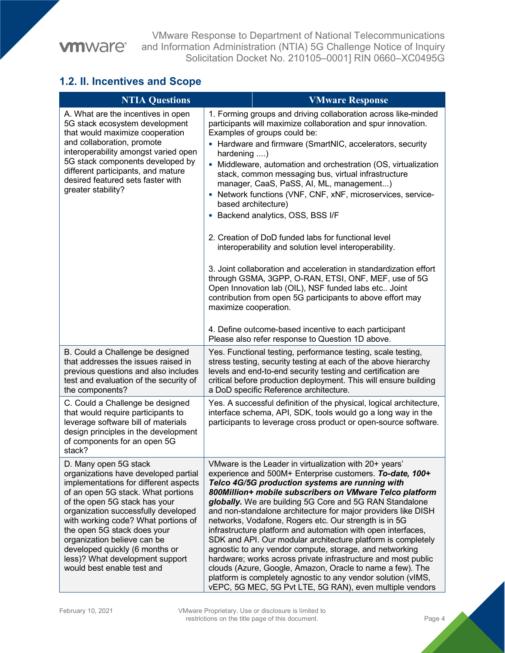## **vmware**®

VMware Response to Department of National Telecommunications and Information Administration (NTIA) 5G Challenge Notice of Inquiry Solicitation Docket No. 210105–0001] RIN 0660–XC0495G

#### **1.2. II. Incentives and Scope**

| <b>NTIA Questions</b>                                                                                                                                                                                                                                                                                                                                                                                                        |                                      | <b>VMware Response</b>                                                                                                                                                                                                                                                                                                                                                                                                                                                                                                                                                                                                                                                                                                                                                                                                                                                                                                                                                                                       |
|------------------------------------------------------------------------------------------------------------------------------------------------------------------------------------------------------------------------------------------------------------------------------------------------------------------------------------------------------------------------------------------------------------------------------|--------------------------------------|--------------------------------------------------------------------------------------------------------------------------------------------------------------------------------------------------------------------------------------------------------------------------------------------------------------------------------------------------------------------------------------------------------------------------------------------------------------------------------------------------------------------------------------------------------------------------------------------------------------------------------------------------------------------------------------------------------------------------------------------------------------------------------------------------------------------------------------------------------------------------------------------------------------------------------------------------------------------------------------------------------------|
| A. What are the incentives in open<br>5G stack ecosystem development<br>that would maximize cooperation<br>and collaboration, promote<br>interoperability amongst varied open<br>5G stack components developed by<br>different participants, and mature<br>desired featured sets faster with<br>greater stability?                                                                                                           | hardening )<br>maximize cooperation. | 1. Forming groups and driving collaboration across like-minded<br>participants will maximize collaboration and spur innovation.<br>Examples of groups could be:<br>• Hardware and firmware (SmartNIC, accelerators, security<br>• Middleware, automation and orchestration (OS, virtualization<br>stack, common messaging bus, virtual infrastructure<br>manager, CaaS, PaSS, AI, ML, management)<br>• Network functions (VNF, CNF, xNF, microservices, service-<br>based architecture)<br>• Backend analytics, OSS, BSS I/F<br>2. Creation of DoD funded labs for functional level<br>interoperability and solution level interoperability.<br>3. Joint collaboration and acceleration in standardization effort<br>through GSMA, 3GPP, O-RAN, ETSI, ONF, MEF, use of 5G<br>Open Innovation lab (OIL), NSF funded labs etc Joint<br>contribution from open 5G participants to above effort may<br>4. Define outcome-based incentive to each participant<br>Please also refer response to Question 1D above. |
| B. Could a Challenge be designed<br>that addresses the issues raised in<br>previous questions and also includes<br>test and evaluation of the security of<br>the components?                                                                                                                                                                                                                                                 |                                      | Yes. Functional testing, performance testing, scale testing,<br>stress testing, security testing at each of the above hierarchy<br>levels and end-to-end security testing and certification are<br>critical before production deployment. This will ensure building<br>a DoD specific Reference architecture.                                                                                                                                                                                                                                                                                                                                                                                                                                                                                                                                                                                                                                                                                                |
| C. Could a Challenge be designed<br>that would require participants to<br>leverage software bill of materials<br>design principles in the development<br>of components for an open 5G<br>stack?                                                                                                                                                                                                                              |                                      | Yes. A successful definition of the physical, logical architecture,<br>interface schema, API, SDK, tools would go a long way in the<br>participants to leverage cross product or open-source software.                                                                                                                                                                                                                                                                                                                                                                                                                                                                                                                                                                                                                                                                                                                                                                                                       |
| D. Many open 5G stack<br>organizations have developed partial<br>implementations for different aspects<br>of an open 5G stack. What portions<br>of the open 5G stack has your<br>organization successfully developed<br>with working code? What portions of<br>the open 5G stack does your<br>organization believe can be<br>developed quickly (6 months or<br>less)? What development support<br>would best enable test and |                                      | VMware is the Leader in virtualization with 20+ years'<br>experience and 500M+ Enterprise customers. To-date, 100+<br>Telco 4G/5G production systems are running with<br>800Million+ mobile subscribers on VMware Telco platform<br>globally. We are building 5G Core and 5G RAN Standalone<br>and non-standalone architecture for major providers like DISH<br>networks, Vodafone, Rogers etc. Our strength is in 5G<br>infrastructure platform and automation with open interfaces,<br>SDK and API. Our modular architecture platform is completely<br>agnostic to any vendor compute, storage, and networking<br>hardware; works across private infrastructure and most public<br>clouds (Azure, Google, Amazon, Oracle to name a few). The<br>platform is completely agnostic to any vendor solution (vIMS,<br>vEPC, 5G MEC, 5G Pvt LTE, 5G RAN), even multiple vendors                                                                                                                                  |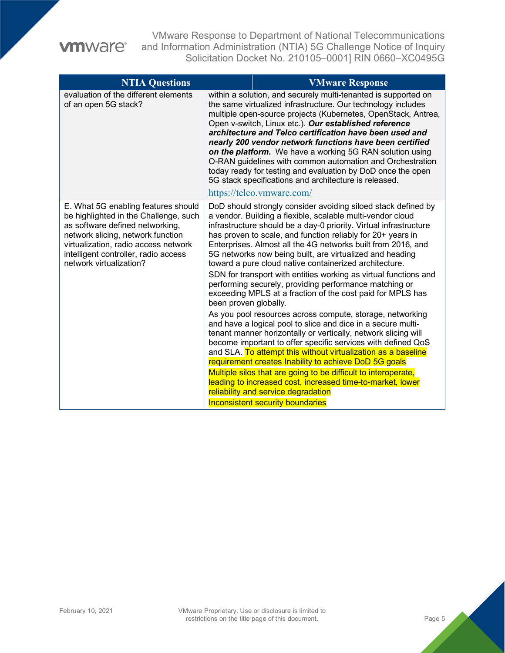## **vmware®**

VMware Response to Department of National Telecommunications and Information Administration (NTIA) 5G Challenge Notice of Inquiry Solicitation Docket No. 210105–0001] RIN 0660–XC0495G

| <b>NTIA Questions</b>                                                                                                                                                                                                                                           |                       | <b>VMware Response</b>                                                                                                                                                                                                                                                                                                                                                                                                                                                                                                                                                                                                                                       |
|-----------------------------------------------------------------------------------------------------------------------------------------------------------------------------------------------------------------------------------------------------------------|-----------------------|--------------------------------------------------------------------------------------------------------------------------------------------------------------------------------------------------------------------------------------------------------------------------------------------------------------------------------------------------------------------------------------------------------------------------------------------------------------------------------------------------------------------------------------------------------------------------------------------------------------------------------------------------------------|
| evaluation of the different elements<br>of an open 5G stack?                                                                                                                                                                                                    |                       | within a solution, and securely multi-tenanted is supported on<br>the same virtualized infrastructure. Our technology includes<br>multiple open-source projects (Kubernetes, OpenStack, Antrea,<br>Open v-switch, Linux etc.). Our established reference<br>architecture and Telco certification have been used and<br>nearly 200 vendor network functions have been certified<br>on the platform. We have a working 5G RAN solution using<br>O-RAN guidelines with common automation and Orchestration<br>today ready for testing and evaluation by DoD once the open<br>5G stack specifications and architecture is released.<br>https://telco.vmware.com/ |
| E. What 5G enabling features should<br>be highlighted in the Challenge, such<br>as software defined networking,<br>network slicing, network function<br>virtualization, radio access network<br>intelligent controller, radio access<br>network virtualization? | been proven globally. | DoD should strongly consider avoiding siloed stack defined by<br>a vendor. Building a flexible, scalable multi-vendor cloud<br>infrastructure should be a day-0 priority. Virtual infrastructure<br>has proven to scale, and function reliably for 20+ years in<br>Enterprises. Almost all the 4G networks built from 2016, and<br>5G networks now being built, are virtualized and heading<br>toward a pure cloud native containerized architecture.<br>SDN for transport with entities working as virtual functions and<br>performing securely, providing performance matching or<br>exceeding MPLS at a fraction of the cost paid for MPLS has            |
|                                                                                                                                                                                                                                                                 |                       | As you pool resources across compute, storage, networking<br>and have a logical pool to slice and dice in a secure multi-<br>tenant manner horizontally or vertically, network slicing will<br>become important to offer specific services with defined QoS<br>and SLA. To attempt this without virtualization as a baseline<br>requirement creates Inability to achieve DoD 5G goals<br>Multiple silos that are going to be difficult to interoperate,<br>leading to increased cost, increased time-to-market, lower<br>reliability and service degradation<br><b>Inconsistent security boundaries</b>                                                      |